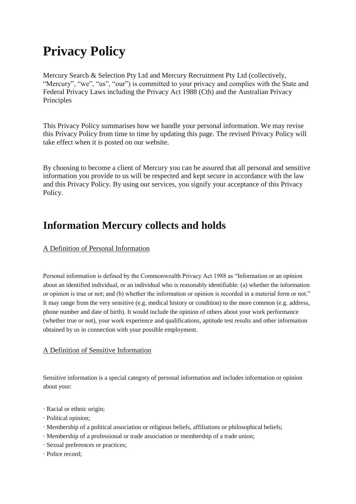# **Privacy Policy**

Mercury Search & Selection Pty Ltd and Mercury Recruitment Pty Ltd (collectively, "Mercury", "we", "us", "our") is committed to your privacy and complies with the State and Federal Privacy Laws including the Privacy Act 1988 (Cth) and the Australian Privacy Principles

This Privacy Policy summarises how we handle your personal information. We may revise this Privacy Policy from time to time by updating this page. The revised Privacy Policy will take effect when it is posted on our website.

By choosing to become a client of Mercury you can be assured that all personal and sensitive information you provide to us will be respected and kept secure in accordance with the law and this Privacy Policy. By using our services, you signify your acceptance of this Privacy Policy.

# **Information Mercury collects and holds**

# A Definition of Personal Information

Personal information is defined by the Commonwealth Privacy Act 1988 as "Information or an opinion about an identified individual, or an individual who is reasonably identifiable: (a) whether the information or opinion is true or not; and (b) whether the information or opinion is recorded in a material form or not." It may range from the very sensitive (e.g. medical history or condition) to the more common (e.g. address, phone number and date of birth). It would include the opinion of others about your work performance (whether true or not), your work experience and qualifications, aptitude test results and other information obtained by us in connection with your possible employment.

## A Definition of Sensitive Information

Sensitive information is a special category of personal information and includes information or opinion about your:

- · Racial or ethnic origin;
- · Political opinion;
- · Membership of a political association or religious beliefs, affiliations or philosophical beliefs;
- · Membership of a professional or trade association or membership of a trade union;
- · Sexual preferences or practices;
- · Police record;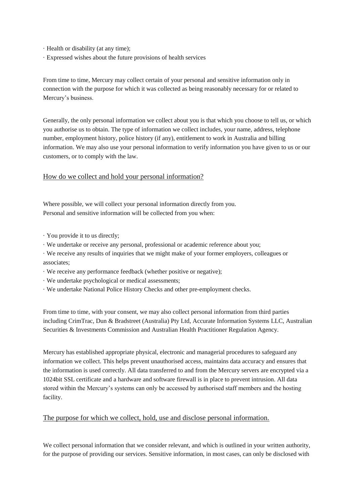- · Health or disability (at any time);
- · Expressed wishes about the future provisions of health services

From time to time, Mercury may collect certain of your personal and sensitive information only in connection with the purpose for which it was collected as being reasonably necessary for or related to Mercury's business.

Generally, the only personal information we collect about you is that which you choose to tell us, or which you authorise us to obtain. The type of information we collect includes, your name, address, telephone number, employment history, police history (if any), entitlement to work in Australia and billing information. We may also use your personal information to verify information you have given to us or our customers, or to comply with the law.

# How do we collect and hold your personal information?

Where possible, we will collect your personal information directly from you. Personal and sensitive information will be collected from you when:

- · You provide it to us directly;
- · We undertake or receive any personal, professional or academic reference about you;
- · We receive any results of inquiries that we might make of your former employers, colleagues or associates;
- · We receive any performance feedback (whether positive or negative);
- · We undertake psychological or medical assessments;
- · We undertake National Police History Checks and other pre-employment checks.

From time to time, with your consent, we may also collect personal information from third parties including CrimTrac, Dun & Bradstreet (Australia) Pty Ltd, Accurate Information Systems LLC, Australian Securities & Investments Commission and Australian Health Practitioner Regulation Agency.

Mercury has established appropriate physical, electronic and managerial procedures to safeguard any information we collect. This helps prevent unauthorised access, maintains data accuracy and ensures that the information is used correctly. All data transferred to and from the Mercury servers are encrypted via a 1024bit SSL certificate and a hardware and software firewall is in place to prevent intrusion. All data stored within the Mercury's systems can only be accessed by authorised staff members and the hosting facility.

## The purpose for which we collect, hold, use and disclose personal information.

We collect personal information that we consider relevant, and which is outlined in your written authority, for the purpose of providing our services. Sensitive information, in most cases, can only be disclosed with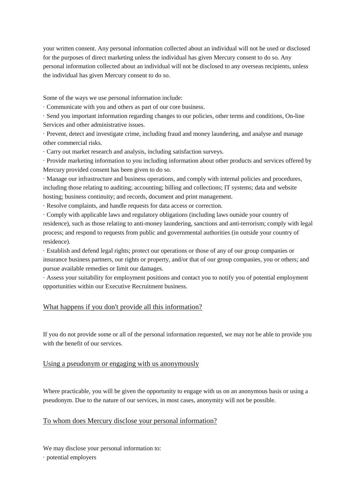your written consent. Any personal information collected about an individual will not be used or disclosed for the purposes of direct marketing unless the individual has given Mercury consent to do so. Any personal information collected about an individual will not be disclosed to any overseas recipients, unless the individual has given Mercury consent to do so.

Some of the ways we use personal information include:

· Communicate with you and others as part of our core business.

· Send you important information regarding changes to our policies, other terms and conditions, On-line Services and other administrative issues.

· Prevent, detect and investigate crime, including fraud and money laundering, and analyse and manage other commercial risks.

· Carry out market research and analysis, including satisfaction surveys.

· Provide marketing information to you including information about other products and services offered by Mercury provided consent has been given to do so.

· Manage our infrastructure and business operations, and comply with internal policies and procedures, including those relating to auditing; accounting; billing and collections; IT systems; data and website hosting; business continuity; and records, document and print management.

· Resolve complaints, and handle requests for data access or correction.

· Comply with applicable laws and regulatory obligations (including laws outside your country of residence), such as those relating to anti-money laundering, sanctions and anti-terrorism; comply with legal process; and respond to requests from public and governmental authorities (in outside your country of residence).

· Establish and defend legal rights; protect our operations or those of any of our group companies or insurance business partners, our rights or property, and/or that of our group companies, you or others; and pursue available remedies or limit our damages.

· Assess your suitability for employment positions and contact you to notify you of potential employment opportunities within our Executive Recruitment business.

#### What happens if you don't provide all this information?

If you do not provide some or all of the personal information requested, we may not be able to provide you with the benefit of our services.

#### Using a pseudonym or engaging with us anonymously

Where practicable, you will be given the opportunity to engage with us on an anonymous basis or using a pseudonym. Due to the nature of our services, in most cases, anonymity will not be possible.

#### To whom does Mercury disclose your personal information?

We may disclose your personal information to: · potential employers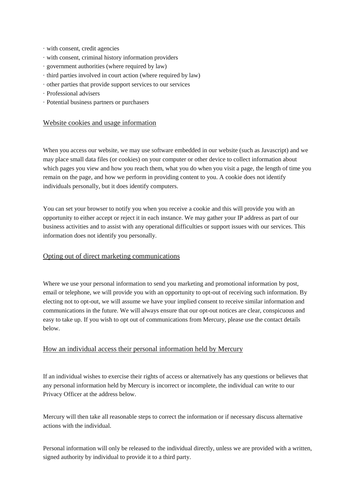- · with consent, credit agencies
- · with consent, criminal history information providers
- · government authorities (where required by law)
- · third parties involved in court action (where required by law)
- · other parties that provide support services to our services
- · Professional advisers
- · Potential business partners or purchasers

#### Website cookies and usage information

When you access our website, we may use software embedded in our website (such as Javascript) and we may place small data files (or cookies) on your computer or other device to collect information about which pages you view and how you reach them, what you do when you visit a page, the length of time you remain on the page, and how we perform in providing content to you. A cookie does not identify individuals personally, but it does identify computers.

You can set your browser to notify you when you receive a cookie and this will provide you with an opportunity to either accept or reject it in each instance. We may gather your IP address as part of our business activities and to assist with any operational difficulties or support issues with our services. This information does not identify you personally.

#### Opting out of direct marketing communications

Where we use your personal information to send you marketing and promotional information by post, email or telephone, we will provide you with an opportunity to opt-out of receiving such information. By electing not to opt-out, we will assume we have your implied consent to receive similar information and communications in the future. We will always ensure that our opt-out notices are clear, conspicuous and easy to take up. If you wish to opt out of communications from Mercury, please use the contact details below.

#### How an individual access their personal information held by Mercury

If an individual wishes to exercise their rights of access or alternatively has any questions or believes that any personal information held by Mercury is incorrect or incomplete, the individual can write to our Privacy Officer at the address below.

Mercury will then take all reasonable steps to correct the information or if necessary discuss alternative actions with the individual.

Personal information will only be released to the individual directly, unless we are provided with a written, signed authority by individual to provide it to a third party.